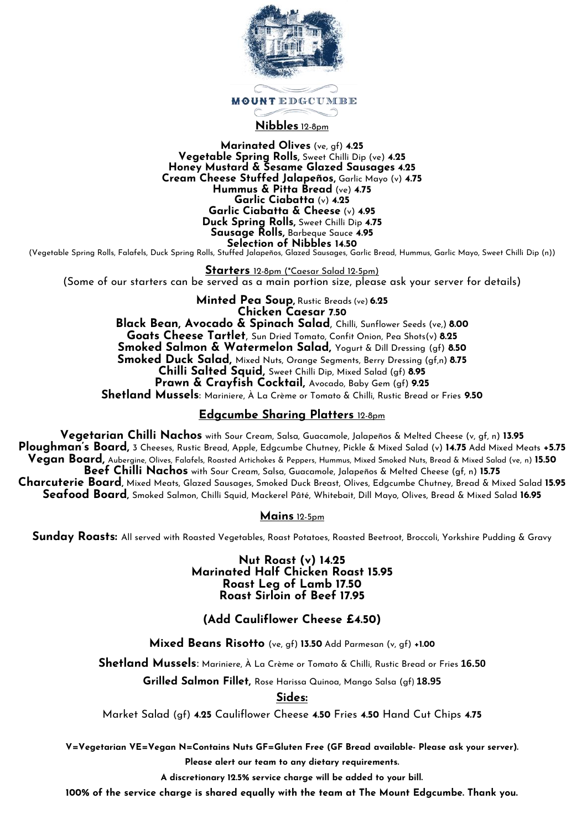

## **Nibbles** 12-8pm

**Marinated Olives** (ve, gf) **4.25 Vegetable Spring Rolls,** Sweet Chilli Dip (ve) **4.25 Honey Mustard & Sesame Glazed Sausages 4.25 Cream Cheese Stuffed Jalapeños,** Garlic Mayo (v) **4.75 Hummus & Pitta Bread** (ve) **4.75 Garlic Ciabatta** (v) **4.25 Garlic Ciabatta & Cheese** (v) **4.95 Duck Spring Rolls,** Sweet Chilli Dip **4.75 Sausage Rolls,** Barbeque Sauce **4.95 Selection of Nibbles 14.50**

(Vegetable Spring Rolls, Falafels, Duck Spring Rolls, Stuffed Jalapeños, Glazed Sausages, Garlic Bread, Hummus, Garlic Mayo, Sweet Chilli Dip (n))

**Starters** 12-8pm (\*Caesar Salad 12-5pm) (Some of our starters can be served as a main portion size, please ask your server for details)

**Minted Pea Soup,** Rustic Breads (ve) **6.25 Chicken Caesar 7.50 Black Bean, Avocado & Spinach Salad**, Chilli, Sunflower Seeds (ve,) **8.00 Goats Cheese Tartlet**, Sun Dried Tomato, Confit Onion, Pea Shots(v) **8.25 Smoked Salmon & Watermelon Salad,** Yogurt & Dill Dressing (gf) **8.50 Smoked Duck Salad,** Mixed Nuts, Orange Segments, Berry Dressing (gf,n) **8.75 Chilli Salted Squid,** Sweet Chilli Dip, Mixed Salad (gf) **8.95 Prawn & Crayfish Cocktail,** Avocado, Baby Gem (gf) **9.25 Shetland Mussels**: Mariniere, À La Crème or Tomato & Chilli, Rustic Bread or Fries **9.50**

### **Edgcumbe Sharing Platters** 12-8pm

**Vegetarian Chilli Nachos** with Sour Cream, Salsa, Guacamole, Jalapeños & Melted Cheese (v, gf, n) **13.95 Ploughman's Board,** 3 Cheeses, Rustic Bread, Apple, Edgcumbe Chutney, Pickle & Mixed Salad (v) **14.75** Add Mixed Meats **+5.75 Vegan Board,** Aubergine, Olives, Falafels, Roasted Artichokes & Peppers, Hummus, Mixed Smoked Nuts, Bread & Mixed Salad (ve, n) **15.50 Beef Chilli Nachos** with Sour Cream, Salsa, Guacamole, Jalapeños & Melted Cheese (gf, n) **15.75 Charcuterie Board,** Mixed Meats, Glazed Sausages, Smoked Duck Breast, Olives, Edgcumbe Chutney, Bread & Mixed Salad **15.95 Seafood Board,** Smoked Salmon, Chilli Squid, Mackerel Pâté, Whitebait, Dill Mayo, Olives, Bread & Mixed Salad **16.95**

**Mains** 12-5pm

**Sunday Roasts:** All served with Roasted Vegetables, Roast Potatoes, Roasted Beetroot, Broccoli, Yorkshire Pudding & Gravy

**Nut Roast (v) 14.25 Marinated Half Chicken Roast 15.95 Roast Leg of Lamb 17.50 Roast Sirloin of Beef 17.95**

**(Add Cauliflower Cheese £4.50)**

**Mixed Beans Risotto** (ve, gf) **13.50** Add Parmesan (v, gf) **+1.00**

**Shetland Mussels**: Mariniere, À La Crème or Tomato & Chilli, Rustic Bread or Fries **16.50**

**Grilled Salmon Fillet,** Rose Harissa Quinoa, Mango Salsa (gf) **18.95**

**Sides:**

Market Salad (gf) **4.25** Cauliflower Cheese **4.50** Fries **4.50** Hand Cut Chips **4.75**

**V=Vegetarian VE=Vegan N=Contains Nuts GF=Gluten Free (GF Bread available- Please ask your server). Please alert our team to any dietary requirements.**

**A discretionary 12.5% service charge will be added to your bill.**

**100% of the service charge is shared equally with the team at The Mount Edgcumbe. Thank you.**